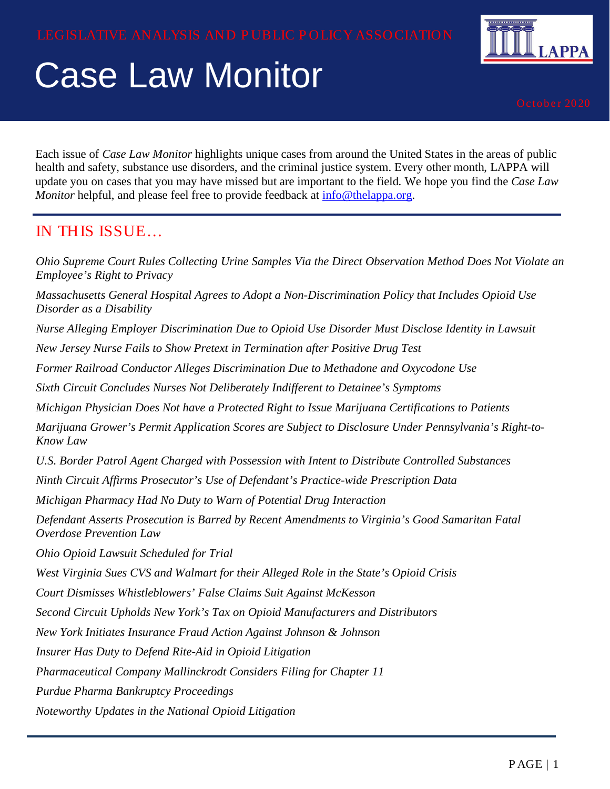# Case Law Monitor



Each issue of *Case Law Monitor* highlights unique cases from around the United States in the areas of public health and safety, substance use disorders, and the criminal justice system. Every other month, LAPPA will update you on cases that you may have missed but are important to the field. We hope you find the *Case Law Monitor* helpful, and please feel free to provide feedback at  $\frac{info@thelappa.org}{dt@thelappa.org}$ .

#### IN THIS ISSUE…

*Ohio Supreme Court Rules Collecting Urine Samples Via the Direct Observation Method Does Not Violate an Employee's Right to Privacy Massachusetts General Hospital Agrees to Adopt a Non-Discrimination Policy that Includes Opioid Use Disorder as a Disability Nurse Alleging Employer Discrimination Due to Opioid Use Disorder Must Disclose Identity in Lawsuit New Jersey Nurse Fails to Show Pretext in Termination after Positive Drug Test Former Railroad Conductor Alleges Discrimination Due to Methadone and Oxycodone Use Sixth Circuit Concludes Nurses Not Deliberately Indifferent to Detainee's Symptoms Michigan Physician Does Not have a Protected Right to Issue Marijuana Certifications to Patients Marijuana Grower's Permit Application Scores are Subject to Disclosure Under Pennsylvania's Right-to-Know Law U.S. Border Patrol Agent Charged with Possession with Intent to Distribute Controlled Substances Ninth Circuit Affirms Prosecutor's Use of Defendant's Practice-wide Prescription Data Michigan Pharmacy Had No Duty to Warn of Potential Drug Interaction Defendant Asserts Prosecution is Barred by Recent Amendments to Virginia's Good Samaritan Fatal Overdose Prevention Law Ohio Opioid Lawsuit Scheduled for Trial West Virginia Sues CVS and Walmart for their Alleged Role in the State's Opioid Crisis Court Dismisses Whistleblowers' False Claims Suit Against McKesson Second Circuit Upholds New York's Tax on Opioid Manufacturers and Distributors New York Initiates Insurance Fraud Action Against Johnson & Johnson Insurer Has Duty to Defend Rite-Aid in Opioid Litigation Pharmaceutical Company Mallinckrodt Considers Filing for Chapter 11 Purdue Pharma Bankruptcy Proceedings Noteworthy Updates in the National Opioid Litigation*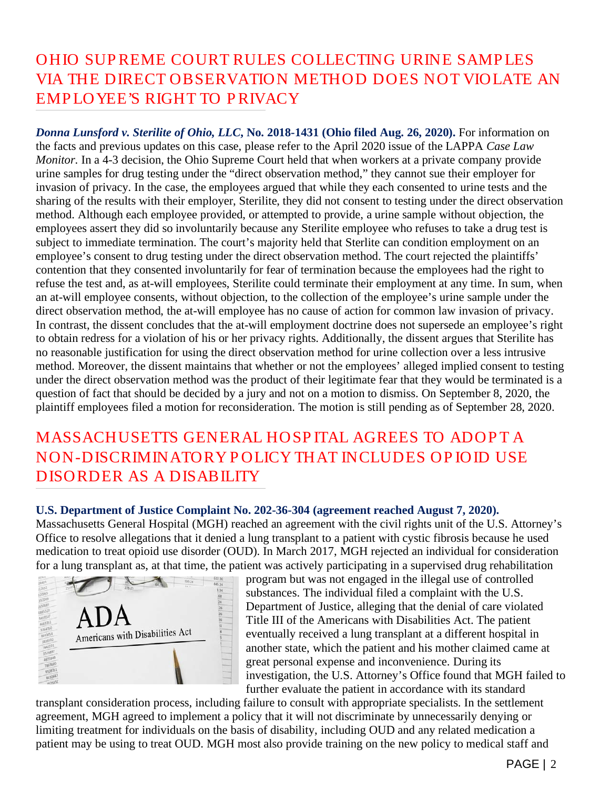# OHIO SUP REME COURT RULES COLLECTING URINE SAMP LES VIA THE DIRECT OBSERVATION METHOD DOES NOT VIOLATE AN EMP LOYEE'S RIGHT TO P RIVACY

*Donna Lunsford v. Sterilite of Ohio, LLC***, No. 2018-1431 (Ohio filed Aug. 26, 2020).** For information on the facts and previous updates on this case, please refer to the April 2020 issue of the LAPPA *Case Law Monitor*. In a 4-3 decision, the Ohio Supreme Court held that when workers at a private company provide urine samples for drug testing under the "direct observation method," they cannot sue their employer for invasion of privacy. In the case, the employees argued that while they each consented to urine tests and the sharing of the results with their employer, Sterilite, they did not consent to testing under the direct observation method. Although each employee provided, or attempted to provide, a urine sample without objection, the employees assert they did so involuntarily because any Sterilite employee who refuses to take a drug test is subject to immediate termination. The court's majority held that Sterlite can condition employment on an employee's consent to drug testing under the direct observation method. The court rejected the plaintiffs' contention that they consented involuntarily for fear of termination because the employees had the right to refuse the test and, as at-will employees, Sterilite could terminate their employment at any time. In sum, when an at-will employee consents, without objection, to the collection of the employee's urine sample under the direct observation method, the at-will employee has no cause of action for common law invasion of privacy. In contrast, the dissent concludes that the at-will employment doctrine does not supersede an employee's right to obtain redress for a violation of his or her privacy rights. Additionally, the dissent argues that Sterilite has no reasonable justification for using the direct observation method for urine collection over a less intrusive method. Moreover, the dissent maintains that whether or not the employees' alleged implied consent to testing under the direct observation method was the product of their legitimate fear that they would be terminated is a question of fact that should be decided by a jury and not on a motion to dismiss. On September 8, 2020, the plaintiff employees filed a motion for reconsideration. The motion is still pending as of September 28, 2020.

#### MASSACHUSETTS GENERAL HOSP ITAL AGREES TO ADOP T A NON-DISCRIMINATORY P OLICY THAT INCLUDES OP IOID USE DISORDER AS A DISABILITY

#### **U.S. Department of Justice Complaint No. 202-36-304 (agreement reached August 7, 2020).**

Massachusetts General Hospital (MGH) reached an agreement with the civil rights unit of the U.S. Attorney's Office to resolve allegations that it denied a lung transplant to a patient with cystic fibrosis because he used medication to treat opioid use disorder (OUD). In March 2017, MGH rejected an individual for consideration for a lung transplant as, at that time, the patient was actively participating in a supervised drug rehabilitation



program but was not engaged in the illegal use of controlled substances. The individual filed a complaint with the U.S. Department of Justice, alleging that the denial of care violated Title III of the Americans with Disabilities Act. The patient eventually received a lung transplant at a different hospital in another state, which the patient and his mother claimed came at great personal expense and inconvenience. During its investigation, the U.S. Attorney's Office found that MGH failed to further evaluate the patient in accordance with its standard

transplant consideration process, including failure to consult with appropriate specialists. In the settlement agreement, MGH agreed to implement a policy that it will not discriminate by unnecessarily denying or limiting treatment for individuals on the basis of disability, including OUD and any related medication a patient may be using to treat OUD. MGH most also provide training on the new policy to medical staff and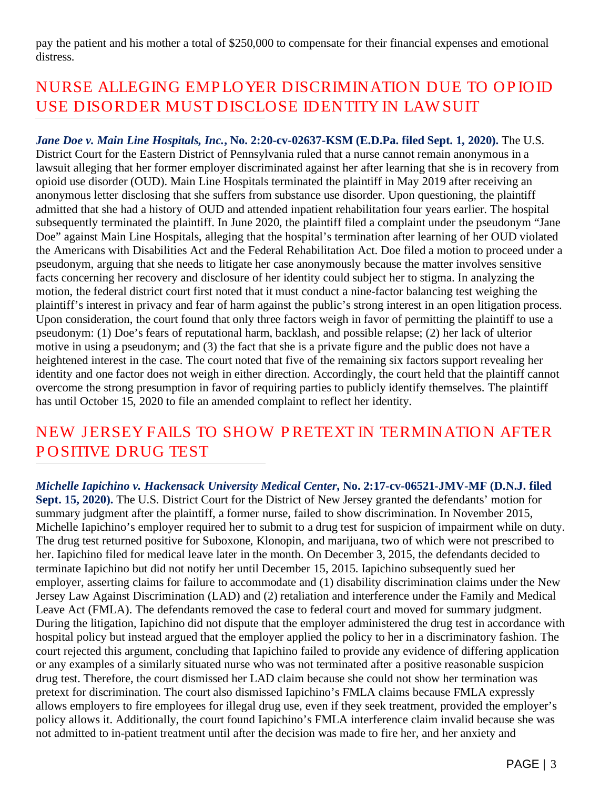pay the patient and his mother a total of \$250,000 to compensate for their financial expenses and emotional distress.

#### NURSE ALLEGING EMP LOYER DISCRIMINATION DUE TO OP IOID USE DISORDER MUST DISCLOSE IDENTITY IN LAW SUIT

*Jane Doe v. Main Line Hospitals, Inc.***, No. 2:20-cv-02637-KSM (E.D.Pa. filed Sept. 1, 2020).** The U.S. District Court for the Eastern District of Pennsylvania ruled that a nurse cannot remain anonymous in a lawsuit alleging that her former employer discriminated against her after learning that she is in recovery from opioid use disorder (OUD). Main Line Hospitals terminated the plaintiff in May 2019 after receiving an anonymous letter disclosing that she suffers from substance use disorder. Upon questioning, the plaintiff admitted that she had a history of OUD and attended inpatient rehabilitation four years earlier. The hospital subsequently terminated the plaintiff. In June 2020, the plaintiff filed a complaint under the pseudonym "Jane Doe" against Main Line Hospitals, alleging that the hospital's termination after learning of her OUD violated the Americans with Disabilities Act and the Federal Rehabilitation Act. Doe filed a motion to proceed under a pseudonym, arguing that she needs to litigate her case anonymously because the matter involves sensitive facts concerning her recovery and disclosure of her identity could subject her to stigma. In analyzing the motion, the federal district court first noted that it must conduct a nine-factor balancing test weighing the plaintiff's interest in privacy and fear of harm against the public's strong interest in an open litigation process. Upon consideration, the court found that only three factors weigh in favor of permitting the plaintiff to use a pseudonym: (1) Doe's fears of reputational harm, backlash, and possible relapse; (2) her lack of ulterior motive in using a pseudonym; and (3) the fact that she is a private figure and the public does not have a heightened interest in the case. The court noted that five of the remaining six factors support revealing her identity and one factor does not weigh in either direction. Accordingly, the court held that the plaintiff cannot overcome the strong presumption in favor of requiring parties to publicly identify themselves. The plaintiff has until October 15, 2020 to file an amended complaint to reflect her identity.

#### NEW JERSEY FAILS TO SHOW P RETEXT IN TERMINATION AFTER P OSITIVE DRUG TEST

*Michelle Iapichino v. Hackensack University Medical Center***, No. 2:17-cv-06521-JMV-MF (D.N.J. filed Sept. 15, 2020).** The U.S. District Court for the District of New Jersey granted the defendants' motion for summary judgment after the plaintiff, a former nurse, failed to show discrimination. In November 2015, Michelle Iapichino's employer required her to submit to a drug test for suspicion of impairment while on duty. The drug test returned positive for Suboxone, Klonopin, and marijuana, two of which were not prescribed to her. Iapichino filed for medical leave later in the month. On December 3, 2015, the defendants decided to terminate Iapichino but did not notify her until December 15, 2015. Iapichino subsequently sued her employer, asserting claims for failure to accommodate and (1) disability discrimination claims under the New Jersey Law Against Discrimination (LAD) and (2) retaliation and interference under the Family and Medical Leave Act (FMLA). The defendants removed the case to federal court and moved for summary judgment. During the litigation, Iapichino did not dispute that the employer administered the drug test in accordance with hospital policy but instead argued that the employer applied the policy to her in a discriminatory fashion. The court rejected this argument, concluding that Iapichino failed to provide any evidence of differing application or any examples of a similarly situated nurse who was not terminated after a positive reasonable suspicion drug test. Therefore, the court dismissed her LAD claim because she could not show her termination was pretext for discrimination. The court also dismissed Iapichino's FMLA claims because FMLA expressly allows employers to fire employees for illegal drug use, even if they seek treatment, provided the employer's policy allows it. Additionally, the court found Iapichino's FMLA interference claim invalid because she was not admitted to in-patient treatment until after the decision was made to fire her, and her anxiety and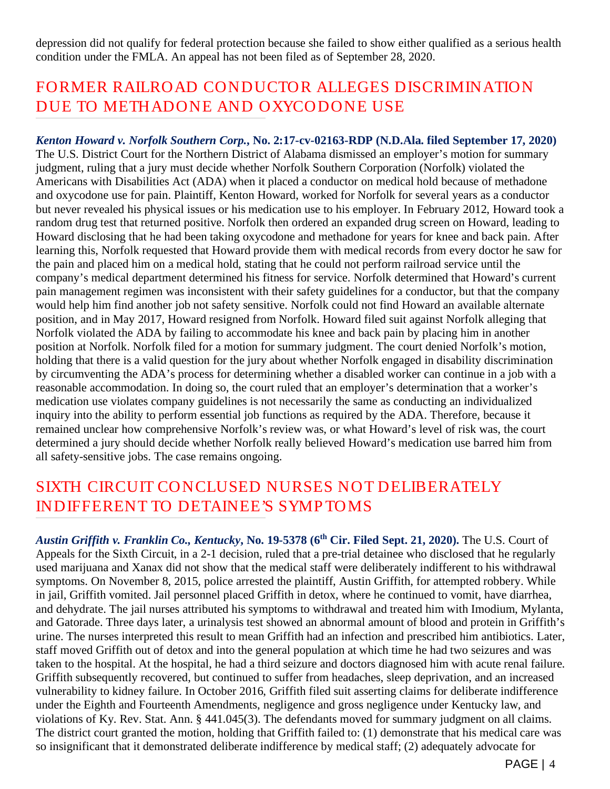depression did not qualify for federal protection because she failed to show either qualified as a serious health condition under the FMLA. An appeal has not been filed as of September 28, 2020.

#### FORMER RAILROAD CONDUCTOR ALLEGES DISCRIMINATION DUE TO METHADONE AND OXYCODONE USE

*Kenton Howard v. Norfolk Southern Corp.***, No. 2:17-cv-02163-RDP (N.D.Ala. filed September 17, 2020)** The U.S. District Court for the Northern District of Alabama dismissed an employer's motion for summary judgment, ruling that a jury must decide whether Norfolk Southern Corporation (Norfolk) violated the Americans with Disabilities Act (ADA) when it placed a conductor on medical hold because of methadone and oxycodone use for pain. Plaintiff, Kenton Howard, worked for Norfolk for several years as a conductor but never revealed his physical issues or his medication use to his employer. In February 2012, Howard took a random drug test that returned positive. Norfolk then ordered an expanded drug screen on Howard, leading to Howard disclosing that he had been taking oxycodone and methadone for years for knee and back pain. After learning this, Norfolk requested that Howard provide them with medical records from every doctor he saw for the pain and placed him on a medical hold, stating that he could not perform railroad service until the company's medical department determined his fitness for service. Norfolk determined that Howard's current pain management regimen was inconsistent with their safety guidelines for a conductor, but that the company would help him find another job not safety sensitive. Norfolk could not find Howard an available alternate position, and in May 2017, Howard resigned from Norfolk. Howard filed suit against Norfolk alleging that Norfolk violated the ADA by failing to accommodate his knee and back pain by placing him in another position at Norfolk. Norfolk filed for a motion for summary judgment. The court denied Norfolk's motion, holding that there is a valid question for the jury about whether Norfolk engaged in disability discrimination by circumventing the ADA's process for determining whether a disabled worker can continue in a job with a reasonable accommodation. In doing so, the court ruled that an employer's determination that a worker's medication use violates company guidelines is not necessarily the same as conducting an individualized inquiry into the ability to perform essential job functions as required by the ADA. Therefore, because it remained unclear how comprehensive Norfolk's review was, or what Howard's level of risk was, the court determined a jury should decide whether Norfolk really believed Howard's medication use barred him from all safety-sensitive jobs. The case remains ongoing.

#### SIXTH CIRCUIT CONCLUSED NURSES NOT DELIBERATELY INDIFFERENT TO DETAINEE'S SYMP TOMS

*Austin Griffith v. Franklin Co., Kentucky, No.* 19-5378 (6<sup>th</sup> Cir. Filed Sept. 21, 2020). The U.S. Court of Appeals for the Sixth Circuit, in a 2-1 decision, ruled that a pre-trial detainee who disclosed that he regularly used marijuana and Xanax did not show that the medical staff were deliberately indifferent to his withdrawal symptoms. On November 8, 2015, police arrested the plaintiff, Austin Griffith, for attempted robbery. While in jail, Griffith vomited. Jail personnel placed Griffith in detox, where he continued to vomit, have diarrhea, and dehydrate. The jail nurses attributed his symptoms to withdrawal and treated him with Imodium, Mylanta, and Gatorade. Three days later, a urinalysis test showed an abnormal amount of blood and protein in Griffith's urine. The nurses interpreted this result to mean Griffith had an infection and prescribed him antibiotics. Later, staff moved Griffith out of detox and into the general population at which time he had two seizures and was taken to the hospital. At the hospital, he had a third seizure and doctors diagnosed him with acute renal failure. Griffith subsequently recovered, but continued to suffer from headaches, sleep deprivation, and an increased vulnerability to kidney failure. In October 2016, Griffith filed suit asserting claims for deliberate indifference under the Eighth and Fourteenth Amendments, negligence and gross negligence under Kentucky law, and violations of Ky. Rev. Stat. Ann. § 441.045(3). The defendants moved for summary judgment on all claims. The district court granted the motion, holding that Griffith failed to: (1) demonstrate that his medical care was so insignificant that it demonstrated deliberate indifference by medical staff; (2) adequately advocate for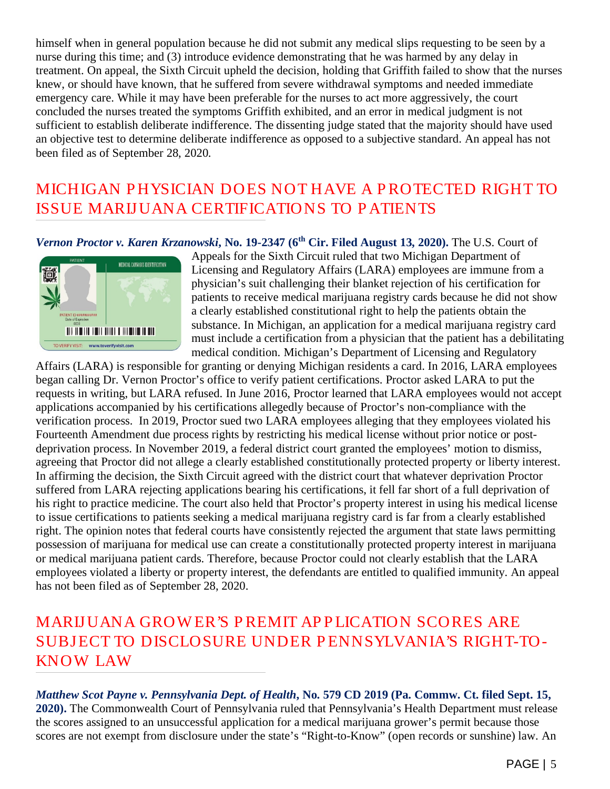himself when in general population because he did not submit any medical slips requesting to be seen by a nurse during this time; and (3) introduce evidence demonstrating that he was harmed by any delay in treatment. On appeal, the Sixth Circuit upheld the decision, holding that Griffith failed to show that the nurses knew, or should have known, that he suffered from severe withdrawal symptoms and needed immediate emergency care. While it may have been preferable for the nurses to act more aggressively, the court concluded the nurses treated the symptoms Griffith exhibited, and an error in medical judgment is not sufficient to establish deliberate indifference. The dissenting judge stated that the majority should have used an objective test to determine deliberate indifference as opposed to a subjective standard. An appeal has not been filed as of September 28, 2020.

#### MICHIGAN P HYSICIAN DOES NOT HAVE A P ROTECTED RIGHT TO ISSUE MARIJUANA CERTIFICATIONS TO P ATIENTS

*Vernon Proctor v. Karen Krzanowski***, No. 19-2347 (6th Cir. Filed August 13, 2020).** The U.S. Court of



Appeals for the Sixth Circuit ruled that two Michigan Department of Licensing and Regulatory Affairs (LARA) employees are immune from a physician's suit challenging their blanket rejection of his certification for patients to receive medical marijuana registry cards because he did not show a clearly established constitutional right to help the patients obtain the substance. In Michigan, an application for a medical marijuana registry card must include a certification from a physician that the patient has a debilitating medical condition. Michigan's Department of Licensing and Regulatory

Affairs (LARA) is responsible for granting or denying Michigan residents a card. In 2016, LARA employees began calling Dr. Vernon Proctor's office to verify patient certifications. Proctor asked LARA to put the requests in writing, but LARA refused. In June 2016, Proctor learned that LARA employees would not accept applications accompanied by his certifications allegedly because of Proctor's non-compliance with the verification process. In 2019, Proctor sued two LARA employees alleging that they employees violated his Fourteenth Amendment due process rights by restricting his medical license without prior notice or postdeprivation process. In November 2019, a federal district court granted the employees' motion to dismiss, agreeing that Proctor did not allege a clearly established constitutionally protected property or liberty interest. In affirming the decision, the Sixth Circuit agreed with the district court that whatever deprivation Proctor suffered from LARA rejecting applications bearing his certifications, it fell far short of a full deprivation of his right to practice medicine. The court also held that Proctor's property interest in using his medical license to issue certifications to patients seeking a medical marijuana registry card is far from a clearly established right. The opinion notes that federal courts have consistently rejected the argument that state laws permitting possession of marijuana for medical use can create a constitutionally protected property interest in marijuana or medical marijuana patient cards. Therefore, because Proctor could not clearly establish that the LARA employees violated a liberty or property interest, the defendants are entitled to qualified immunity. An appeal has not been filed as of September 28, 2020.

#### MARIJUANA GROW ER'S P REMIT AP P LICATION SCORES ARE SUBJECT TO DISCLOSURE UNDER P ENNSYLVANIA'S RIGHT-TO-KNOW LAW

#### *Matthew Scot Payne v. Pennsylvania Dept. of Health***, No. 579 CD 2019 (Pa. Commw. Ct. filed Sept. 15,**

**2020).** The Commonwealth Court of Pennsylvania ruled that Pennsylvania's Health Department must release the scores assigned to an unsuccessful application for a medical marijuana grower's permit because those scores are not exempt from disclosure under the state's "Right-to-Know" (open records or sunshine) law. An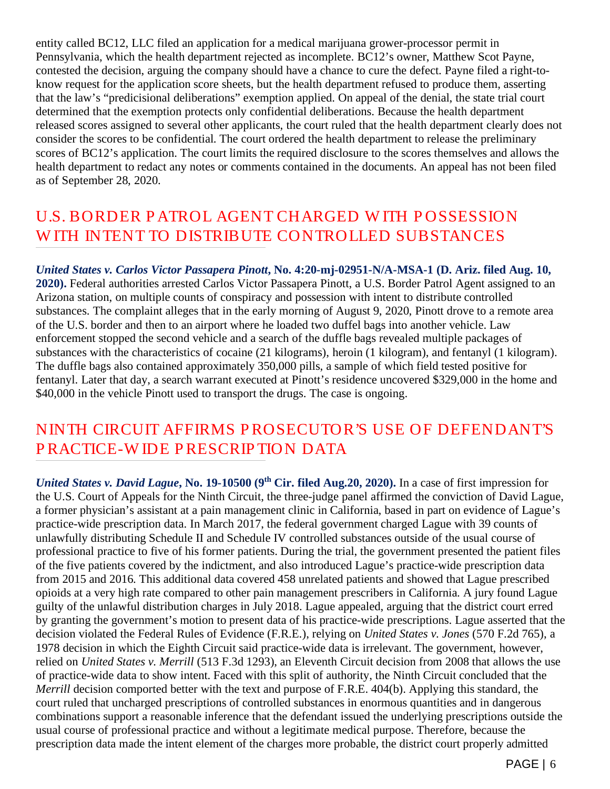entity called BC12, LLC filed an application for a medical marijuana grower-processor permit in Pennsylvania, which the health department rejected as incomplete. BC12's owner, Matthew Scot Payne, contested the decision, arguing the company should have a chance to cure the defect. Payne filed a right-toknow request for the application score sheets, but the health department refused to produce them, asserting that the law's "predicisional deliberations" exemption applied. On appeal of the denial, the state trial court determined that the exemption protects only confidential deliberations. Because the health department released scores assigned to several other applicants, the court ruled that the health department clearly does not consider the scores to be confidential. The court ordered the health department to release the preliminary scores of BC12's application. The court limits the required disclosure to the scores themselves and allows the health department to redact any notes or comments contained in the documents. An appeal has not been filed as of September 28, 2020.

## U.S. BORDER P ATROL AGENT CHARGED W ITH P OSSESSION W ITH INTENT TO DISTRIBUTE CONTROLLED SUBSTANCES

*United States v. Carlos Victor Passapera Pinott***, No. 4:20-mj-02951-N/A-MSA-1 (D. Ariz. filed Aug. 10, 2020).** Federal authorities arrested Carlos Victor Passapera Pinott, a U.S. Border Patrol Agent assigned to an Arizona station, on multiple counts of conspiracy and possession with intent to distribute controlled substances. The complaint alleges that in the early morning of August 9, 2020, Pinott drove to a remote area of the U.S. border and then to an airport where he loaded two duffel bags into another vehicle. Law enforcement stopped the second vehicle and a search of the duffle bags revealed multiple packages of substances with the characteristics of cocaine (21 kilograms), heroin (1 kilogram), and fentanyl (1 kilogram). The duffle bags also contained approximately 350,000 pills, a sample of which field tested positive for fentanyl. Later that day, a search warrant executed at Pinott's residence uncovered \$329,000 in the home and \$40,000 in the vehicle Pinott used to transport the drugs. The case is ongoing.

#### NINTH CIRCUIT AFFIRMS P ROSECUTOR'S USE OF DEFENDANT'S P RACTICE-W IDE P RESCRIP TION DATA

*United States v. David Lague***, No. 19-10500 (9th Cir. filed Aug.20, 2020).** In a case of first impression for the U.S. Court of Appeals for the Ninth Circuit, the three-judge panel affirmed the conviction of David Lague, a former physician's assistant at a pain management clinic in California, based in part on evidence of Lague's practice-wide prescription data. In March 2017, the federal government charged Lague with 39 counts of unlawfully distributing Schedule II and Schedule IV controlled substances outside of the usual course of professional practice to five of his former patients. During the trial, the government presented the patient files of the five patients covered by the indictment, and also introduced Lague's practice-wide prescription data from 2015 and 2016. This additional data covered 458 unrelated patients and showed that Lague prescribed opioids at a very high rate compared to other pain management prescribers in California. A jury found Lague guilty of the unlawful distribution charges in July 2018. Lague appealed, arguing that the district court erred by granting the government's motion to present data of his practice-wide prescriptions. Lague asserted that the decision violated the Federal Rules of Evidence (F.R.E.), relying on *United States v. Jones* (570 F.2d 765), a 1978 decision in which the Eighth Circuit said practice-wide data is irrelevant. The government, however, relied on *United States v. Merrill* (513 F.3d 1293), an Eleventh Circuit decision from 2008 that allows the use of practice-wide data to show intent. Faced with this split of authority, the Ninth Circuit concluded that the *Merrill* decision comported better with the text and purpose of F.R.E. 404(b). Applying this standard, the court ruled that uncharged prescriptions of controlled substances in enormous quantities and in dangerous combinations support a reasonable inference that the defendant issued the underlying prescriptions outside the usual course of professional practice and without a legitimate medical purpose. Therefore, because the prescription data made the intent element of the charges more probable, the district court properly admitted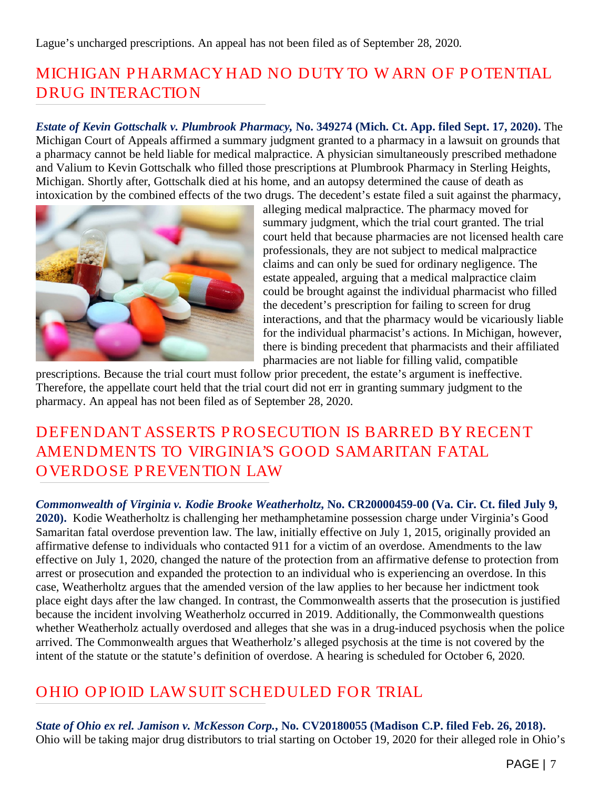# MICHIGAN PHARMACY HAD NO DUTY TO WARN OF POTENTIAL DRUG INTERACTION

*Estate of Kevin Gottschalk v. Plumbrook Pharmacy,* **No. 349274 (Mich. Ct. App. filed Sept. 17, 2020).** The Michigan Court of Appeals affirmed a summary judgment granted to a pharmacy in a lawsuit on grounds that a pharmacy cannot be held liable for medical malpractice. A physician simultaneously prescribed methadone and Valium to Kevin Gottschalk who filled those prescriptions at Plumbrook Pharmacy in Sterling Heights, Michigan. Shortly after, Gottschalk died at his home, and an autopsy determined the cause of death as intoxication by the combined effects of the two drugs. The decedent's estate filed a suit against the pharmacy,



alleging medical malpractice. The pharmacy moved for summary judgment, which the trial court granted. The trial court held that because pharmacies are not licensed health care professionals, they are not subject to medical malpractice claims and can only be sued for ordinary negligence. The estate appealed, arguing that a medical malpractice claim could be brought against the individual pharmacist who filled the decedent's prescription for failing to screen for drug interactions, and that the pharmacy would be vicariously liable for the individual pharmacist's actions. In Michigan, however, there is binding precedent that pharmacists and their affiliated pharmacies are not liable for filling valid, compatible

prescriptions. Because the trial court must follow prior precedent, the estate's argument is ineffective. Therefore, the appellate court held that the trial court did not err in granting summary judgment to the pharmacy. An appeal has not been filed as of September 28, 2020.

#### DEFENDANT ASSERTS P ROSECUTION IS BARRED BY RECENT AMENDMENTS TO VIRGINIA'S GOOD SAMARITAN FATAL OVERDOSE P REVENTION LAW

*Commonwealth of Virginia v. Kodie Brooke Weatherholtz***, No. CR20000459-00 (Va. Cir. Ct. filed July 9, 2020).** Kodie Weatherholtz is challenging her methamphetamine possession charge under Virginia's Good Samaritan fatal overdose prevention law. The law, initially effective on July 1, 2015, originally provided an affirmative defense to individuals who contacted 911 for a victim of an overdose. Amendments to the law effective on July 1, 2020, changed the nature of the protection from an affirmative defense to protection from arrest or prosecution and expanded the protection to an individual who is experiencing an overdose. In this case, Weatherholtz argues that the amended version of the law applies to her because her indictment took place eight days after the law changed. In contrast, the Commonwealth asserts that the prosecution is justified because the incident involving Weatherholz occurred in 2019. Additionally, the Commonwealth questions whether Weatherholz actually overdosed and alleges that she was in a drug-induced psychosis when the police arrived. The Commonwealth argues that Weatherholz's alleged psychosis at the time is not covered by the intent of the statute or the statute's definition of overdose. A hearing is scheduled for October 6, 2020.

## OHIO OP IOID LAW SUIT SCHEDULED FOR TRIAL

*State of Ohio ex rel. Jamison v. McKesson Corp.***, No. CV20180055 (Madison C.P. filed Feb. 26, 2018).** Ohio will be taking major drug distributors to trial starting on October 19, 2020 for their alleged role in Ohio's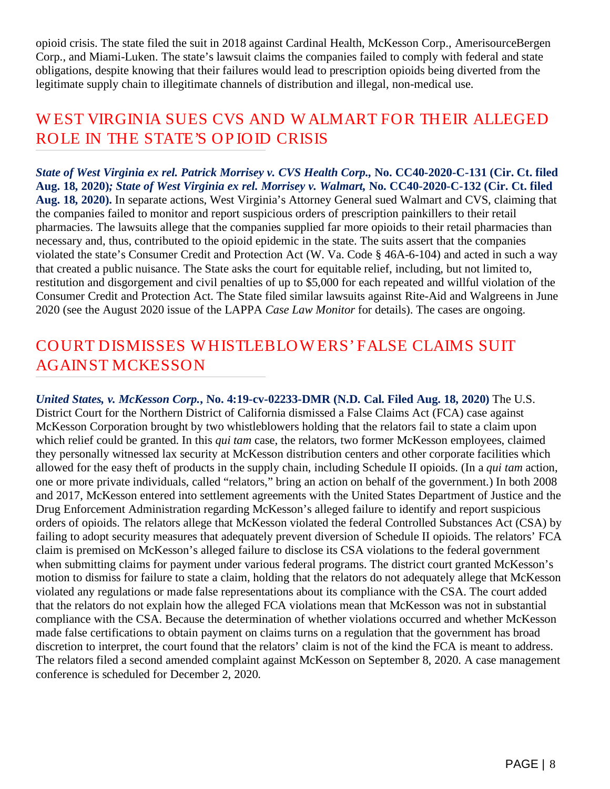opioid crisis. The state filed the suit in 2018 against Cardinal Health, McKesson Corp., AmerisourceBergen Corp., and Miami-Luken. The state's lawsuit claims the companies failed to comply with federal and state obligations, despite knowing that their failures would lead to prescription opioids being diverted from the legitimate supply chain to illegitimate channels of distribution and illegal, non-medical use.

#### W EST VIRGINIA SUES CVS AND W ALMART FOR THEIR ALLEGED ROLE IN THE STATE'S OP IOID CRISIS

*State of West Virginia ex rel. Patrick Morrisey v. CVS Health Corp.,* **No. CC40-2020-C-131 (Cir. Ct. filed Aug. 18, 2020)***; State of West Virginia ex rel. Morrisey v. Walmart,* **No. CC40-2020-C-132 (Cir. Ct. filed Aug. 18, 2020).** In separate actions, West Virginia's Attorney General sued Walmart and CVS, claiming that the companies failed to monitor and report suspicious orders of prescription painkillers to their retail pharmacies. The lawsuits allege that the companies supplied far more opioids to their retail pharmacies than necessary and, thus, contributed to the opioid epidemic in the state. The suits assert that the companies violated the state's Consumer Credit and Protection Act (W. Va. Code § 46A-6-104) and acted in such a way that created a public nuisance. The State asks the court for equitable relief, including, but not limited to, restitution and disgorgement and civil penalties of up to \$5,000 for each repeated and willful violation of the Consumer Credit and Protection Act. The State filed similar lawsuits against Rite-Aid and Walgreens in June 2020 (see the August 2020 issue of the LAPPA *Case Law Monitor* for details). The cases are ongoing.

#### COURT DISMISSES W HISTLEBLOW ERS' FALSE CLAIMS SUIT AGAINST MCKESSON

*United States, v. McKesson Corp.***, No. 4:19-cv-02233-DMR (N.D. Cal. Filed Aug. 18, 2020)** The U.S. District Court for the Northern District of California dismissed a False Claims Act (FCA) case against McKesson Corporation brought by two whistleblowers holding that the relators fail to state a claim upon which relief could be granted. In this *qui tam* case, the relators, two former McKesson employees, claimed they personally witnessed lax security at McKesson distribution centers and other corporate facilities which allowed for the easy theft of products in the supply chain, including Schedule II opioids. (In a *qui tam* action, one or more private individuals, called "relators," bring an action on behalf of the government.) In both 2008 and 2017, McKesson entered into settlement agreements with the United States Department of Justice and the Drug Enforcement Administration regarding McKesson's alleged failure to identify and report suspicious orders of opioids. The relators allege that McKesson violated the federal Controlled Substances Act (CSA) by failing to adopt security measures that adequately prevent diversion of Schedule II opioids. The relators' FCA claim is premised on McKesson's alleged failure to disclose its CSA violations to the federal government when submitting claims for payment under various federal programs. The district court granted McKesson's motion to dismiss for failure to state a claim, holding that the relators do not adequately allege that McKesson violated any regulations or made false representations about its compliance with the CSA. The court added that the relators do not explain how the alleged FCA violations mean that McKesson was not in substantial compliance with the CSA. Because the determination of whether violations occurred and whether McKesson made false certifications to obtain payment on claims turns on a regulation that the government has broad discretion to interpret, the court found that the relators' claim is not of the kind the FCA is meant to address. The relators filed a second amended complaint against McKesson on September 8, 2020. A case management conference is scheduled for December 2, 2020.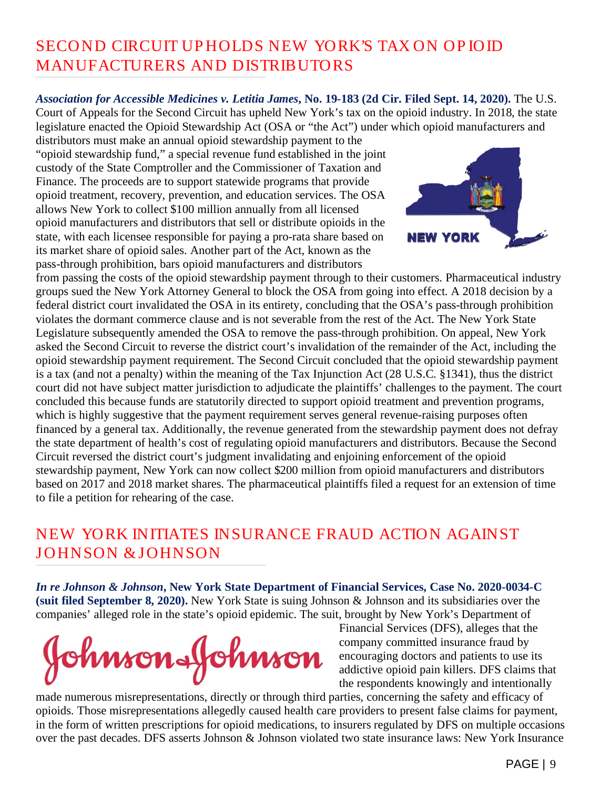## SECOND CIRCUIT UPHOLDS NEW YORK'S TAX ON OPIOID MANUFACTURERS AND DISTRIBUTORS

*Association for Accessible Medicines v. Letitia James***, No. 19-183 (2d Cir. Filed Sept. 14, 2020).** The U.S. Court of Appeals for the Second Circuit has upheld New York's tax on the opioid industry. In 2018, the state legislature enacted the Opioid Stewardship Act (OSA or "the Act") under which opioid manufacturers and

distributors must make an annual opioid stewardship payment to the "opioid stewardship fund," a special revenue fund established in the joint custody of the State Comptroller and the Commissioner of Taxation and Finance. The proceeds are to support statewide programs that provide opioid treatment, recovery, prevention, and education services. The OSA allows New York to collect \$100 million annually from all licensed opioid manufacturers and distributors that sell or distribute opioids in the state, with each licensee responsible for paying a pro-rata share based on its market share of opioid sales. Another part of the Act, known as the pass-through prohibition, bars opioid manufacturers and distributors



from passing the costs of the opioid stewardship payment through to their customers. Pharmaceutical industry groups sued the New York Attorney General to block the OSA from going into effect. A 2018 decision by a federal district court invalidated the OSA in its entirety, concluding that the OSA's pass-through prohibition violates the dormant commerce clause and is not severable from the rest of the Act. The New York State Legislature subsequently amended the OSA to remove the pass-through prohibition. On appeal, New York asked the Second Circuit to reverse the district court's invalidation of the remainder of the Act, including the opioid stewardship payment requirement. The Second Circuit concluded that the opioid stewardship payment is a tax (and not a penalty) within the meaning of the Tax Injunction Act (28 U.S.C. §1341), thus the district court did not have subject matter jurisdiction to adjudicate the plaintiffs' challenges to the payment. The court concluded this because funds are statutorily directed to support opioid treatment and prevention programs, which is highly suggestive that the payment requirement serves general revenue-raising purposes often financed by a general tax. Additionally, the revenue generated from the stewardship payment does not defray the state department of health's cost of regulating opioid manufacturers and distributors. Because the Second Circuit reversed the district court's judgment invalidating and enjoining enforcement of the opioid stewardship payment, New York can now collect \$200 million from opioid manufacturers and distributors based on 2017 and 2018 market shares. The pharmaceutical plaintiffs filed a request for an extension of time to file a petition for rehearing of the case.

## NEW YORK INITIATES INSURANCE FRAUD ACTION AGAINST JOHNSON & JOHNSON

*In re Johnson & Johnson***, New York State Department of Financial Services, Case No. 2020-0034-C (suit filed September 8, 2020).** New York State is suing Johnson & Johnson and its subsidiaries over the companies' alleged role in the state's opioid epidemic. The suit, brought by New York's Department of

Johnson&Johnson

Financial Services (DFS), alleges that the company committed insurance fraud by encouraging doctors and patients to use its addictive opioid pain killers. DFS claims that the respondents knowingly and intentionally

made numerous misrepresentations, directly or through third parties, concerning the safety and efficacy of opioids. Those misrepresentations allegedly caused health care providers to present false claims for payment, in the form of written prescriptions for opioid medications, to insurers regulated by DFS on multiple occasions over the past decades. DFS asserts Johnson & Johnson violated two state insurance laws: New York Insurance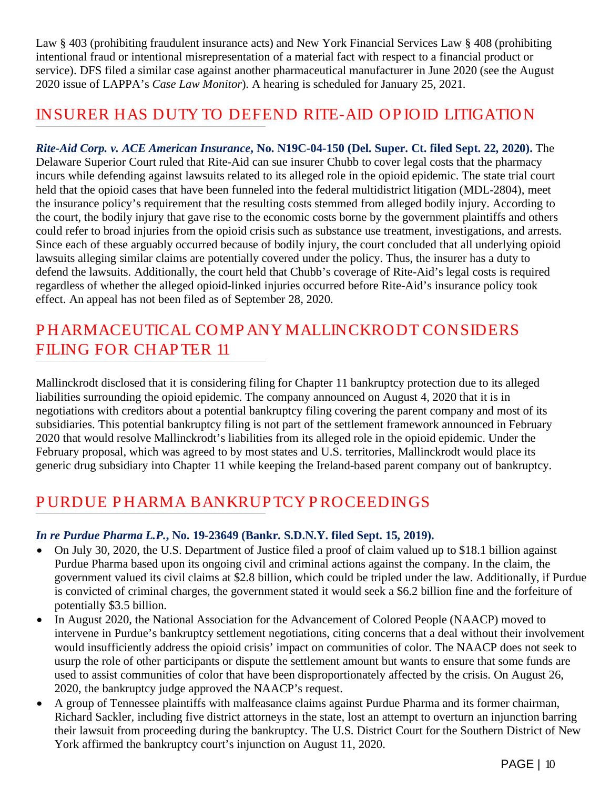Law § 403 (prohibiting fraudulent insurance acts) and New York Financial Services Law § 408 (prohibiting intentional fraud or intentional misrepresentation of a material fact with respect to a financial product or service). DFS filed a similar case against another pharmaceutical manufacturer in June 2020 (see the August 2020 issue of LAPPA's *Case Law Monitor*). A hearing is scheduled for January 25, 2021.

#### INSURER HAS DUTY TO DEFEND RITE-AID OP IOID LITIGATION

*Rite-Aid Corp. v. ACE American Insurance***, No. N19C-04-150 (Del. Super. Ct. filed Sept. 22, 2020).** The Delaware Superior Court ruled that Rite-Aid can sue insurer Chubb to cover legal costs that the pharmacy incurs while defending against lawsuits related to its alleged role in the opioid epidemic. The state trial court held that the opioid cases that have been funneled into the federal multidistrict litigation (MDL-2804), meet the insurance policy's requirement that the resulting costs stemmed from alleged bodily injury. According to the court, the bodily injury that gave rise to the economic costs borne by the government plaintiffs and others could refer to broad injuries from the opioid crisis such as substance use treatment, investigations, and arrests. Since each of these arguably occurred because of bodily injury, the court concluded that all underlying opioid lawsuits alleging similar claims are potentially covered under the policy. Thus, the insurer has a duty to defend the lawsuits. Additionally, the court held that Chubb's coverage of Rite-Aid's legal costs is required regardless of whether the alleged opioid-linked injuries occurred before Rite-Aid's insurance policy took effect. An appeal has not been filed as of September 28, 2020.

#### P HARMACEUTICAL COMP ANY MALLINCKRODT CONSIDERS FILING FOR CHAP TER 11

Mallinckrodt disclosed that it is considering filing for Chapter 11 bankruptcy protection due to its alleged liabilities surrounding the opioid epidemic. The company announced on August 4, 2020 that it is in negotiations with creditors about a potential bankruptcy filing covering the parent company and most of its subsidiaries. This potential bankruptcy filing is not part of the settlement framework announced in February 2020 that would resolve Mallinckrodt's liabilities from its alleged role in the opioid epidemic. Under the February proposal, which was agreed to by most states and U.S. territories, Mallinckrodt would place its generic drug subsidiary into Chapter 11 while keeping the Ireland-based parent company out of bankruptcy.

## P URDUE P HARMA BANKRUP TCY P ROCEEDINGS

#### *In re Purdue Pharma L.P.***, No. 19-23649 (Bankr. S.D.N.Y. filed Sept. 15, 2019).**

- On July 30, 2020, the U.S. Department of Justice filed a proof of claim valued up to \$18.1 billion against Purdue Pharma based upon its ongoing civil and criminal actions against the company. In the claim, the government valued its civil claims at \$2.8 billion, which could be tripled under the law. Additionally, if Purdue is convicted of criminal charges, the government stated it would seek a \$6.2 billion fine and the forfeiture of potentially \$3.5 billion.
- In August 2020, the National Association for the Advancement of Colored People (NAACP) moved to intervene in Purdue's bankruptcy settlement negotiations, citing concerns that a deal without their involvement would insufficiently address the opioid crisis' impact on communities of color. The NAACP does not seek to usurp the role of other participants or dispute the settlement amount but wants to ensure that some funds are used to assist communities of color that have been disproportionately affected by the crisis. On August 26, 2020, the bankruptcy judge approved the NAACP's request.
- A group of Tennessee plaintiffs with malfeasance claims against Purdue Pharma and its former chairman, Richard Sackler, including five district attorneys in the state, lost an attempt to overturn an injunction barring their lawsuit from proceeding during the bankruptcy. The U.S. District Court for the Southern District of New York affirmed the bankruptcy court's injunction on August 11, 2020.